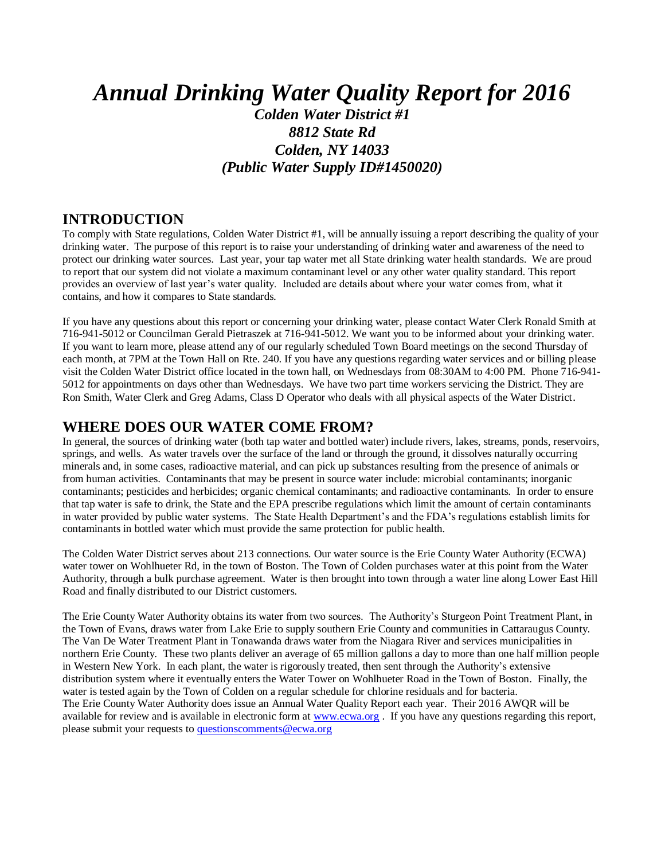# *Annual Drinking Water Quality Report for 2016 Colden Water District #1 8812 State Rd Colden, NY 14033 (Public Water Supply ID#1450020)*

#### **INTRODUCTION**

To comply with State regulations, Colden Water District #1, will be annually issuing a report describing the quality of your drinking water. The purpose of this report is to raise your understanding of drinking water and awareness of the need to protect our drinking water sources. Last year, your tap water met all State drinking water health standards. We are proud to report that our system did not violate a maximum contaminant level or any other water quality standard. This report provides an overview of last year's water quality. Included are details about where your water comes from, what it contains, and how it compares to State standards.

If you have any questions about this report or concerning your drinking water, please contact Water Clerk Ronald Smith at 716-941-5012 or Councilman Gerald Pietraszek at 716-941-5012. We want you to be informed about your drinking water. If you want to learn more, please attend any of our regularly scheduled Town Board meetings on the second Thursday of each month, at 7PM at the Town Hall on Rte. 240. If you have any questions regarding water services and or billing please visit the Colden Water District office located in the town hall, on Wednesdays from 08:30AM to 4:00 PM. Phone 716-941- 5012 for appointments on days other than Wednesdays. We have two part time workers servicing the District. They are Ron Smith, Water Clerk and Greg Adams, Class D Operator who deals with all physical aspects of the Water District.

#### **WHERE DOES OUR WATER COME FROM?**

In general, the sources of drinking water (both tap water and bottled water) include rivers, lakes, streams, ponds, reservoirs, springs, and wells. As water travels over the surface of the land or through the ground, it dissolves naturally occurring minerals and, in some cases, radioactive material, and can pick up substances resulting from the presence of animals or from human activities. Contaminants that may be present in source water include: microbial contaminants; inorganic contaminants; pesticides and herbicides; organic chemical contaminants; and radioactive contaminants. In order to ensure that tap water is safe to drink, the State and the EPA prescribe regulations which limit the amount of certain contaminants in water provided by public water systems. The State Health Department's and the FDA's regulations establish limits for contaminants in bottled water which must provide the same protection for public health.

The Colden Water District serves about 213 connections. Our water source is the Erie County Water Authority (ECWA) water tower on Wohlhueter Rd, in the town of Boston. The Town of Colden purchases water at this point from the Water Authority, through a bulk purchase agreement. Water is then brought into town through a water line along Lower East Hill Road and finally distributed to our District customers.

The Erie County Water Authority obtains its water from two sources. The Authority's Sturgeon Point Treatment Plant, in the Town of Evans, draws water from Lake Erie to supply southern Erie County and communities in Cattaraugus County. The Van De Water Treatment Plant in Tonawanda draws water from the Niagara River and services municipalities in northern Erie County. These two plants deliver an average of 65 million gallons a day to more than one half million people in Western New York. In each plant, the water is rigorously treated, then sent through the Authority's extensive distribution system where it eventually enters the Water Tower on Wohlhueter Road in the Town of Boston. Finally, the water is tested again by the Town of Colden on a regular schedule for chlorine residuals and for bacteria. The Erie County Water Authority does issue an Annual Water Quality Report each year. Their 2016 AWQR will be available for review and is available in electronic form at [www.ecwa.org](http://www.ecwa.org/) . If you have any questions regarding this report, please submit your requests to [questionscomments@ecwa.org](mailto:questionscomments@ecwa.org)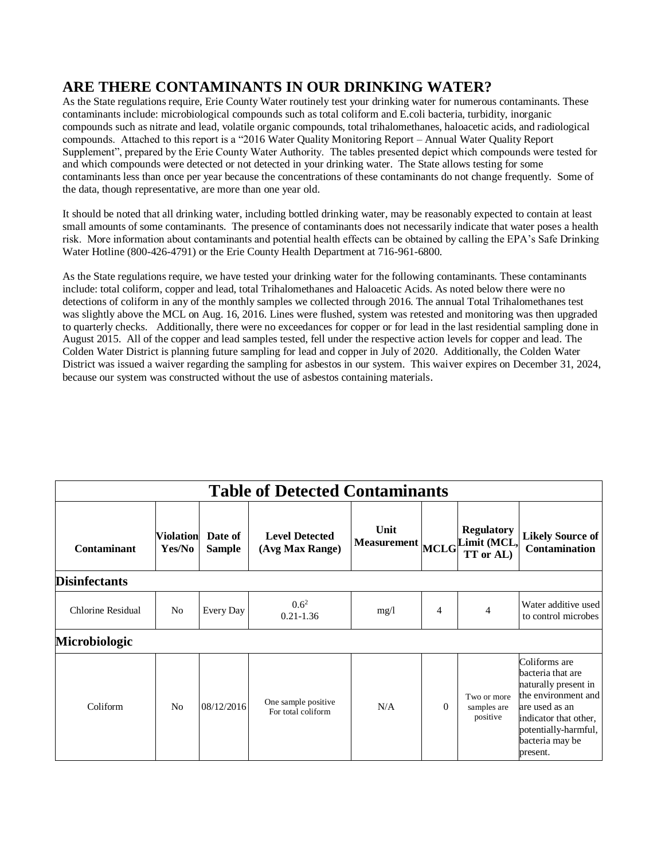### **ARE THERE CONTAMINANTS IN OUR DRINKING WATER?**

As the State regulations require, Erie County Water routinely test your drinking water for numerous contaminants. These contaminants include: microbiological compounds such as total coliform and E.coli bacteria, turbidity, inorganic compounds such as nitrate and lead, volatile organic compounds, total trihalomethanes, haloacetic acids, and radiological compounds. Attached to this report is a "2016 Water Quality Monitoring Report – Annual Water Quality Report Supplement", prepared by the Erie County Water Authority. The tables presented depict which compounds were tested for and which compounds were detected or not detected in your drinking water. The State allows testing for some contaminants less than once per year because the concentrations of these contaminants do not change frequently. Some of the data, though representative, are more than one year old.

It should be noted that all drinking water, including bottled drinking water, may be reasonably expected to contain at least small amounts of some contaminants. The presence of contaminants does not necessarily indicate that water poses a health risk. More information about contaminants and potential health effects can be obtained by calling the EPA's Safe Drinking Water Hotline (800-426-4791) or the Erie County Health Department at 716-961-6800.

As the State regulations require, we have tested your drinking water for the following contaminants. These contaminants include: total coliform, copper and lead, total Trihalomethanes and Haloacetic Acids. As noted below there were no detections of coliform in any of the monthly samples we collected through 2016. The annual Total Trihalomethanes test was slightly above the MCL on Aug. 16, 2016. Lines were flushed, system was retested and monitoring was then upgraded to quarterly checks. Additionally, there were no exceedances for copper or for lead in the last residential sampling done in August 2015. All of the copper and lead samples tested, fell under the respective action levels for copper and lead. The Colden Water District is planning future sampling for lead and copper in July of 2020. Additionally, the Colden Water District was issued a waiver regarding the sampling for asbestos in our system. This waiver expires on December 31, 2024, because our system was constructed without the use of asbestos containing materials.

| <b>Table of Detected Contaminants</b> |                            |                          |                                           |                          |                |                                               |                                                                                                                                                                                     |  |  |  |  |
|---------------------------------------|----------------------------|--------------------------|-------------------------------------------|--------------------------|----------------|-----------------------------------------------|-------------------------------------------------------------------------------------------------------------------------------------------------------------------------------------|--|--|--|--|
| Contaminant                           | <b>Violation</b><br>Yes/No | Date of<br><b>Sample</b> | <b>Level Detected</b><br>(Avg Max Range)  | Unit<br>Measurement MCLG |                | <b>Regulatory</b><br>Limit (MCL,<br>TT or AL) | <b>Likely Source of</b><br>Contamination                                                                                                                                            |  |  |  |  |
| <b>Disinfectants</b>                  |                            |                          |                                           |                          |                |                                               |                                                                                                                                                                                     |  |  |  |  |
| <b>Chlorine Residual</b>              | No                         | Every Day                | $0.6^2$<br>$0.21 - 1.36$                  | mg/l                     | $\overline{4}$ | 4                                             | Water additive used<br>to control microbes                                                                                                                                          |  |  |  |  |
| <b>Microbiologic</b>                  |                            |                          |                                           |                          |                |                                               |                                                                                                                                                                                     |  |  |  |  |
| Coliform                              | N <sub>o</sub>             | 08/12/2016               | One sample positive<br>For total coliform | N/A                      | $\Omega$       | Two or more<br>samples are<br>positive        | Coliforms are<br>bacteria that are<br>naturally present in<br>the environment and<br>are used as an<br>indicator that other,<br>potentially-harmful,<br>bacteria may be<br>present. |  |  |  |  |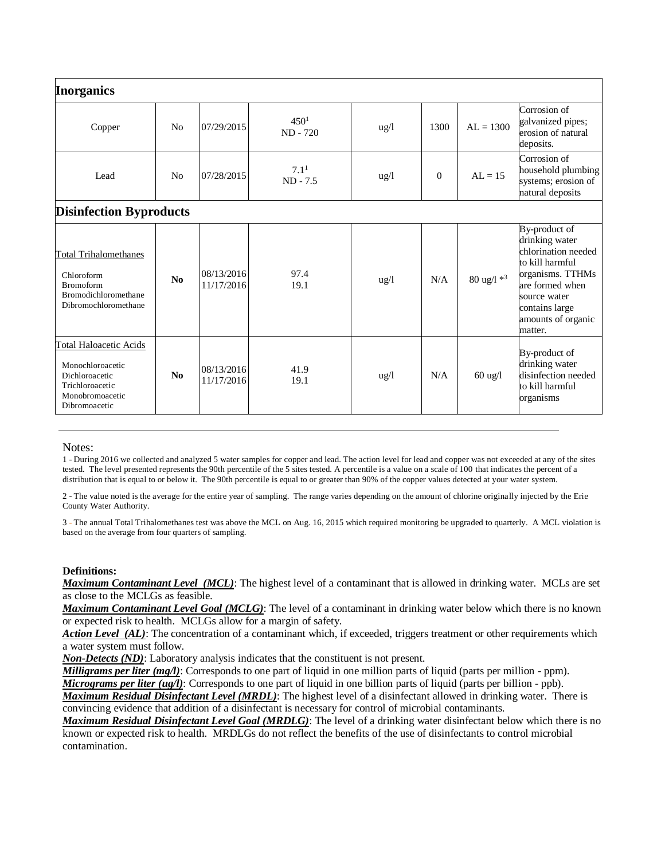| <b>Inorganics</b>                                                                                                          |                |                          |                                |                 |          |                        |                                                                                                                                                                                     |
|----------------------------------------------------------------------------------------------------------------------------|----------------|--------------------------|--------------------------------|-----------------|----------|------------------------|-------------------------------------------------------------------------------------------------------------------------------------------------------------------------------------|
| Copper                                                                                                                     | N <sub>0</sub> | 07/29/2015               | 450 <sup>1</sup><br>ND - 720   | $\frac{u g}{l}$ | 1300     | $AL = 1300$            | Corrosion of<br>galvanized pipes;<br>erosion of natural<br>deposits.                                                                                                                |
| Lead                                                                                                                       | N <sub>0</sub> | 07/28/2015               | 7.1 <sup>1</sup><br>$ND - 7.5$ | $\frac{u g}{l}$ | $\Omega$ | $AL = 15$              | Corrosion of<br>household plumbing<br>systems; erosion of<br>natural deposits                                                                                                       |
| <b>Disinfection Byproducts</b>                                                                                             |                |                          |                                |                 |          |                        |                                                                                                                                                                                     |
| <b>Total Trihalomethanes</b><br>Chloroform<br><b>Bromoform</b><br>Bromodichloromethane<br>Dibromochloromethane             | No             | 08/13/2016<br>11/17/2016 | 97.4<br>19.1                   | ug/l            | N/A      | 80 ug/l * <sup>3</sup> | By-product of<br>drinking water<br>chlorination needed<br>to kill harmful<br>organisms. TTHMs<br>are formed when<br>source water<br>contains large<br>amounts of organic<br>matter. |
| <b>Total Haloacetic Acids</b><br>Monochloroacetic<br>Dichloroacetic<br>Trichloroacetic<br>Monobromoacetic<br>Dibromoacetic | No             | 08/13/2016<br>11/17/2016 | 41.9<br>19.1                   | ug/l            | N/A      | $60$ ug/l              | By-product of<br>drinking water<br>disinfection needed<br>to kill harmful<br>organisms                                                                                              |

#### Notes:

1 - During 2016 we collected and analyzed 5 water samples for copper and lead. The action level for lead and copper was not exceeded at any of the sites tested. The level presented represents the 90th percentile of the 5 sites tested. A percentile is a value on a scale of 100 that indicates the percent of a distribution that is equal to or below it. The 90th percentile is equal to or greater than 90% of the copper values detected at your water system.

2 - The value noted is the average for the entire year of sampling. The range varies depending on the amount of chlorine originally injected by the Erie County Water Authority.

3 - The annual Total Trihalomethanes test was above the MCL on Aug. 16, 2015 which required monitoring be upgraded to quarterly. A MCL violation is based on the average from four quarters of sampling.

#### **Definitions:**

*Maximum Contaminant Level (MCL)*: The highest level of a contaminant that is allowed in drinking water. MCLs are set as close to the MCLGs as feasible.

*Maximum Contaminant Level Goal (MCLG)*: The level of a contaminant in drinking water below which there is no known or expected risk to health. MCLGs allow for a margin of safety.

*Action Level (AL)*: The concentration of a contaminant which, if exceeded, triggers treatment or other requirements which a water system must follow.

*Non-Detects (ND)*: Laboratory analysis indicates that the constituent is not present.

*Milligrams per liter (mg/l)*: Corresponds to one part of liquid in one million parts of liquid (parts per million - ppm).

*Micrograms per liter (ug/l)*: Corresponds to one part of liquid in one billion parts of liquid (parts per billion - ppb).

*Maximum Residual Disinfectant Level (MRDL)*: The highest level of a disinfectant allowed in drinking water. There is convincing evidence that addition of a disinfectant is necessary for control of microbial contaminants.

*Maximum Residual Disinfectant Level Goal (MRDLG)*: The level of a drinking water disinfectant below which there is no known or expected risk to health. MRDLGs do not reflect the benefits of the use of disinfectants to control microbial contamination.